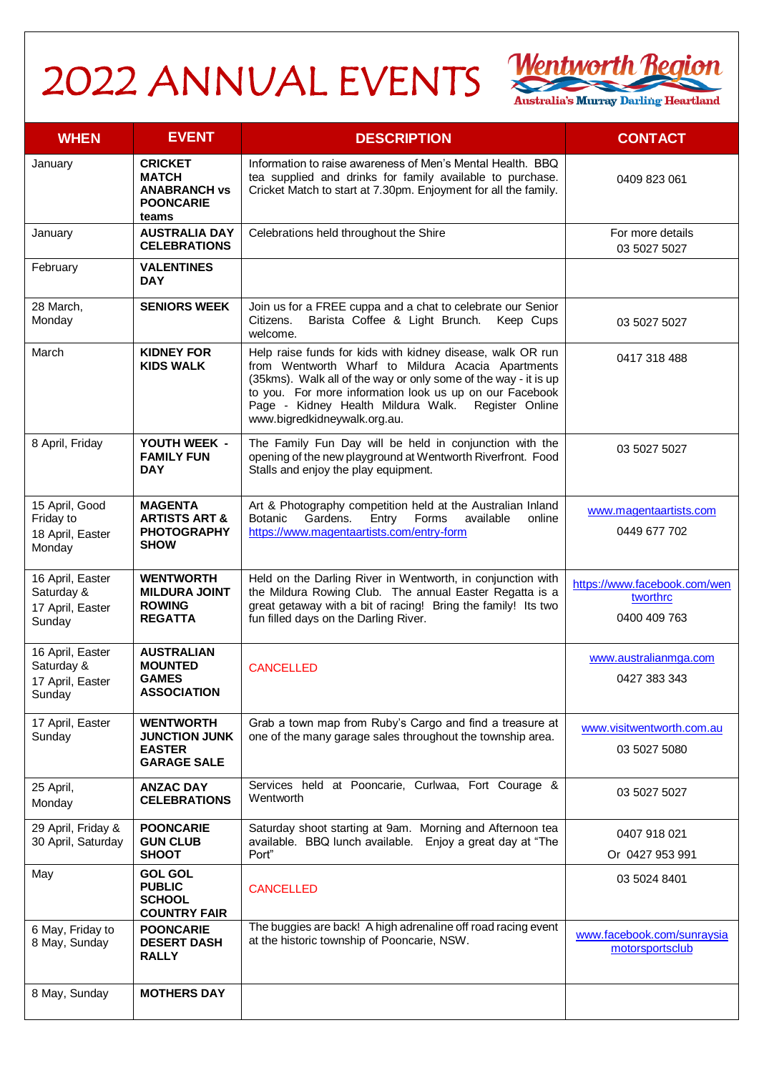## 2022 ANNUAL EVENTS Wentworth Region



| <b>WHEN</b>                                                  | <b>EVENT</b>                                                                       | <b>DESCRIPTION</b>                                                                                                                                                                                                                                                                                                                     | <b>CONTACT</b>                                           |
|--------------------------------------------------------------|------------------------------------------------------------------------------------|----------------------------------------------------------------------------------------------------------------------------------------------------------------------------------------------------------------------------------------------------------------------------------------------------------------------------------------|----------------------------------------------------------|
| January                                                      | <b>CRICKET</b><br><b>MATCH</b><br><b>ANABRANCH vs</b><br><b>POONCARIE</b><br>teams | Information to raise awareness of Men's Mental Health. BBQ<br>tea supplied and drinks for family available to purchase.<br>Cricket Match to start at 7.30pm. Enjoyment for all the family.                                                                                                                                             | 0409 823 061                                             |
| January                                                      | <b>AUSTRALIA DAY</b><br><b>CELEBRATIONS</b>                                        | Celebrations held throughout the Shire                                                                                                                                                                                                                                                                                                 | For more details<br>03 5027 5027                         |
| February                                                     | <b>VALENTINES</b><br><b>DAY</b>                                                    |                                                                                                                                                                                                                                                                                                                                        |                                                          |
| 28 March,<br>Monday                                          | <b>SENIORS WEEK</b>                                                                | Join us for a FREE cuppa and a chat to celebrate our Senior<br>Citizens.<br>Barista Coffee & Light Brunch.<br>Keep Cups<br>welcome.                                                                                                                                                                                                    | 03 5027 5027                                             |
| March                                                        | <b>KIDNEY FOR</b><br><b>KIDS WALK</b>                                              | Help raise funds for kids with kidney disease, walk OR run<br>from Wentworth Wharf to Mildura Acacia Apartments<br>(35kms). Walk all of the way or only some of the way - it is up<br>to you. For more information look us up on our Facebook<br>Page - Kidney Health Mildura Walk.<br>Register Online<br>www.bigredkidneywalk.org.au. | 0417 318 488                                             |
| 8 April, Friday                                              | YOUTH WEEK -<br><b>FAMILY FUN</b><br><b>DAY</b>                                    | The Family Fun Day will be held in conjunction with the<br>opening of the new playground at Wentworth Riverfront. Food<br>Stalls and enjoy the play equipment.                                                                                                                                                                         | 03 5027 5027                                             |
| 15 April, Good<br>Friday to<br>18 April, Easter<br>Monday    | <b>MAGENTA</b><br><b>ARTISTS ART &amp;</b><br><b>PHOTOGRAPHY</b><br><b>SHOW</b>    | Art & Photography competition held at the Australian Inland<br>Gardens.<br>Entry<br>Forms<br><b>Botanic</b><br>available<br>online<br>https://www.magentaartists.com/entry-form                                                                                                                                                        | www.magentaartists.com<br>0449 677 702                   |
| 16 April, Easter<br>Saturday &<br>17 April, Easter<br>Sunday | <b>WENTWORTH</b><br><b>MILDURA JOINT</b><br><b>ROWING</b><br><b>REGATTA</b>        | Held on the Darling River in Wentworth, in conjunction with<br>the Mildura Rowing Club. The annual Easter Regatta is a<br>great getaway with a bit of racing! Bring the family! Its two<br>fun filled days on the Darling River.                                                                                                       | https://www.facebook.com/wen<br>tworthrc<br>0400 409 763 |
| 16 April, Easter<br>Saturday &<br>17 April, Easter<br>Sunday | <b>AUSTRALIAN</b><br><b>MOUNTED</b><br><b>GAMES</b><br><b>ASSOCIATION</b>          | <b>CANCELLED</b>                                                                                                                                                                                                                                                                                                                       | www.australianmga.com<br>0427 383 343                    |
| 17 April, Easter<br>Sunday                                   | <b>WENTWORTH</b><br><b>JUNCTION JUNK</b><br><b>EASTER</b><br><b>GARAGE SALE</b>    | Grab a town map from Ruby's Cargo and find a treasure at<br>one of the many garage sales throughout the township area.                                                                                                                                                                                                                 | www.visitwentworth.com.au<br>03 5027 5080                |
| 25 April,<br>Monday                                          | <b>ANZAC DAY</b><br><b>CELEBRATIONS</b>                                            | Services held at Pooncarie, Curlwaa, Fort Courage &<br>Wentworth                                                                                                                                                                                                                                                                       | 03 5027 5027                                             |
| 29 April, Friday &<br>30 April, Saturday                     | <b>POONCARIE</b><br><b>GUN CLUB</b><br><b>SHOOT</b>                                | Saturday shoot starting at 9am. Morning and Afternoon tea<br>available. BBQ lunch available. Enjoy a great day at "The<br>Port"                                                                                                                                                                                                        | 0407 918 021<br>Or 0427 953 991                          |
| May                                                          | <b>GOL GOL</b><br><b>PUBLIC</b><br><b>SCHOOL</b><br><b>COUNTRY FAIR</b>            | <b>CANCELLED</b>                                                                                                                                                                                                                                                                                                                       | 03 5024 8401                                             |
| 6 May, Friday to<br>8 May, Sunday                            | <b>POONCARIE</b><br><b>DESERT DASH</b><br><b>RALLY</b>                             | The buggies are back! A high adrenaline off road racing event<br>at the historic township of Pooncarie, NSW.                                                                                                                                                                                                                           | www.facebook.com/sunraysia<br>motorsportsclub            |
| 8 May, Sunday                                                | <b>MOTHERS DAY</b>                                                                 |                                                                                                                                                                                                                                                                                                                                        |                                                          |